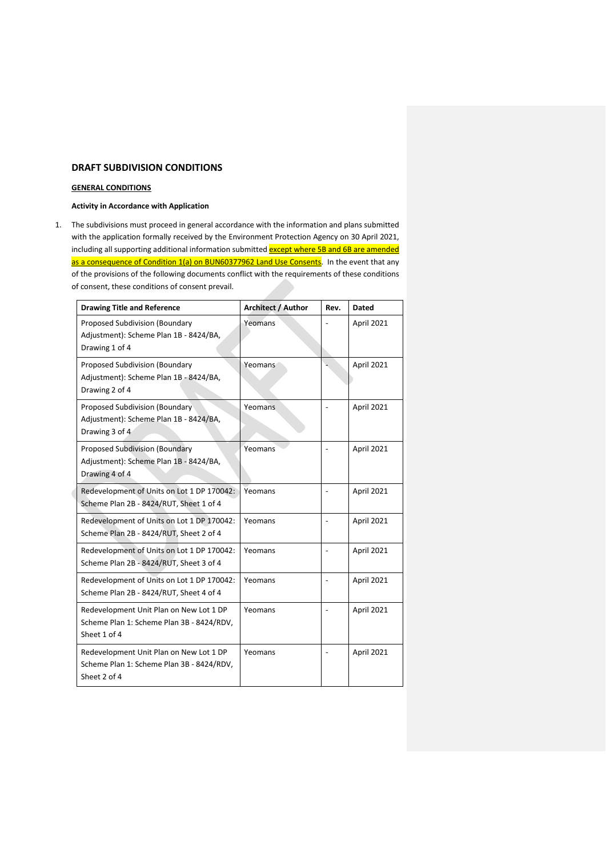# **DRAFT SUBDIVISION CONDITIONS**

### **GENERAL CONDITIONS**

# **Activity in Accordance with Application**

1. The subdivisions must proceed in general accordance with the information and plans submitted with the application formally received by the Environment Protection Agency on 30 April 2021, including all supporting additional information submitted **except where 5B and 6B are amended** as a consequence of Condition 1(a) on BUN60377962 Land Use Consents. In the event that any of the provisions of the following documents conflict with the requirements of these conditions of consent, these conditions of consent prevail.

|  | <b>Drawing Title and Reference</b>                                                                   | <b>Architect / Author</b> | Rev. | <b>Dated</b> |
|--|------------------------------------------------------------------------------------------------------|---------------------------|------|--------------|
|  | Proposed Subdivision (Boundary<br>Adjustment): Scheme Plan 1B - 8424/BA,<br>Drawing 1 of 4           | Yeomans                   |      | April 2021   |
|  | Proposed Subdivision (Boundary<br>Adjustment): Scheme Plan 1B - 8424/BA,<br>Drawing 2 of 4           | Yeomans <sup>®</sup>      |      | April 2021   |
|  | Proposed Subdivision (Boundary<br>Adjustment): Scheme Plan 1B - 8424/BA,<br>Drawing 3 of 4           | Yeomans                   |      | April 2021   |
|  | Proposed Subdivision (Boundary<br>Adjustment): Scheme Plan 1B - 8424/BA,<br>Drawing 4 of 4           | Yeomans                   |      | April 2021   |
|  | Redevelopment of Units on Lot 1 DP 170042:<br>Scheme Plan 2B - 8424/RUT, Sheet 1 of 4                | Yeomans                   |      | April 2021   |
|  | Redevelopment of Units on Lot 1 DP 170042:<br>Scheme Plan 2B - 8424/RUT, Sheet 2 of 4                | Yeomans                   |      | April 2021   |
|  | Redevelopment of Units on Lot 1 DP 170042:<br>Scheme Plan 2B - 8424/RUT, Sheet 3 of 4                | Yeomans                   |      | April 2021   |
|  | Redevelopment of Units on Lot 1 DP 170042:<br>Scheme Plan 2B - 8424/RUT, Sheet 4 of 4                | Yeomans                   |      | April 2021   |
|  | Redevelopment Unit Plan on New Lot 1 DP<br>Scheme Plan 1: Scheme Plan 3B - 8424/RDV,<br>Sheet 1 of 4 | Yeomans                   |      | April 2021   |
|  | Redevelopment Unit Plan on New Lot 1 DP<br>Scheme Plan 1: Scheme Plan 3B - 8424/RDV,<br>Sheet 2 of 4 | Yeomans                   |      | April 2021   |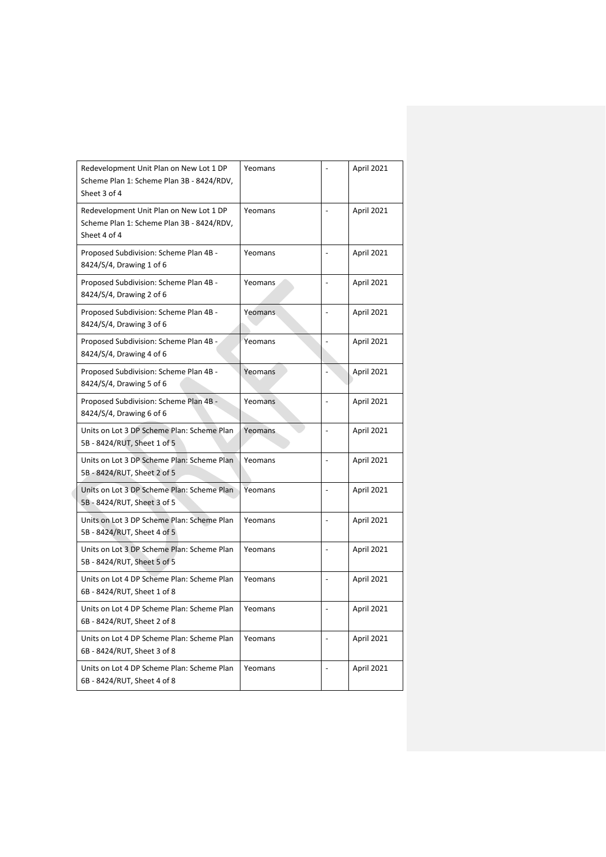| Redevelopment Unit Plan on New Lot 1 DP<br>Scheme Plan 1: Scheme Plan 3B - 8424/RDV,<br>Sheet 3 of 4 | Yeomans |                          | April 2021 |
|------------------------------------------------------------------------------------------------------|---------|--------------------------|------------|
| Redevelopment Unit Plan on New Lot 1 DP<br>Scheme Plan 1: Scheme Plan 3B - 8424/RDV,<br>Sheet 4 of 4 | Yeomans | $\overline{\phantom{0}}$ | April 2021 |
| Proposed Subdivision: Scheme Plan 4B -<br>8424/S/4, Drawing 1 of 6                                   | Yeomans | $\overline{a}$           | April 2021 |
| Proposed Subdivision: Scheme Plan 4B -<br>8424/S/4, Drawing 2 of 6                                   | Yeomans | $\overline{a}$           | April 2021 |
| Proposed Subdivision: Scheme Plan 4B -<br>8424/S/4, Drawing 3 of 6                                   | Yeomans |                          | April 2021 |
| Proposed Subdivision: Scheme Plan 4B -<br>8424/S/4, Drawing 4 of 6                                   | Yeomans |                          | April 2021 |
| Proposed Subdivision: Scheme Plan 4B -<br>8424/S/4, Drawing 5 of 6                                   | Yeomans |                          | April 2021 |
| Proposed Subdivision: Scheme Plan 4B -<br>8424/S/4, Drawing 6 of 6                                   | Yeomans | $\overline{a}$           | April 2021 |
| Units on Lot 3 DP Scheme Plan: Scheme Plan<br>5B - 8424/RUT, Sheet 1 of 5                            | Yeomans | $\overline{\phantom{0}}$ | April 2021 |
| Units on Lot 3 DP Scheme Plan: Scheme Plan<br>5B - 8424/RUT, Sheet 2 of 5                            | Yeomans | $\overline{a}$           | April 2021 |
| Units on Lot 3 DP Scheme Plan: Scheme Plan<br>5B - 8424/RUT, Sheet 3 of 5                            | Yeomans |                          | April 2021 |
| Units on Lot 3 DP Scheme Plan: Scheme Plan<br>5B - 8424/RUT, Sheet 4 of 5                            | Yeomans | $\overline{a}$           | April 2021 |
| Units on Lot 3 DP Scheme Plan: Scheme Plan<br>5B - 8424/RUT, Sheet 5 of 5                            | Yeomans | $\overline{a}$           | April 2021 |
| Units on Lot 4 DP Scheme Plan: Scheme Plan<br>6B - 8424/RUT, Sheet 1 of 8                            | Yeomans | $\overline{a}$           | April 2021 |
| Units on Lot 4 DP Scheme Plan: Scheme Plan<br>6B - 8424/RUT, Sheet 2 of 8                            | Yeomans | $\frac{1}{2}$            | April 2021 |
| Units on Lot 4 DP Scheme Plan: Scheme Plan<br>6B - 8424/RUT, Sheet 3 of 8                            | Yeomans | $\overline{\phantom{0}}$ | April 2021 |
| Units on Lot 4 DP Scheme Plan: Scheme Plan<br>6B - 8424/RUT, Sheet 4 of 8                            | Yeomans |                          | April 2021 |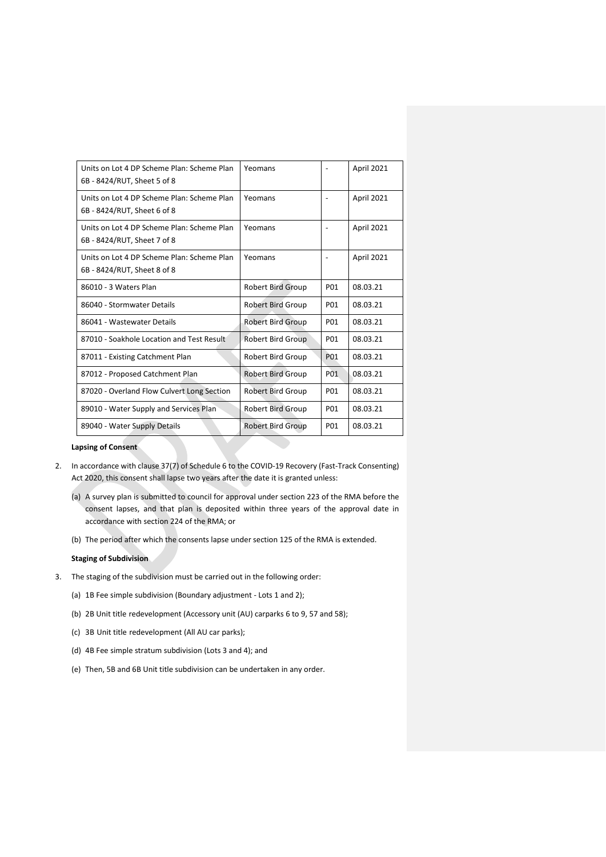| Units on Lot 4 DP Scheme Plan: Scheme Plan<br>Yeomans<br><b>April 2021</b><br>6B - 8424/RUT, Sheet 5 of 8<br>Units on Lot 4 DP Scheme Plan: Scheme Plan<br>Yeomans<br><b>April 2021</b><br>6B - 8424/RUT, Sheet 6 of 8<br>Units on Lot 4 DP Scheme Plan: Scheme Plan<br>Yeomans<br><b>April 2021</b><br>6B - 8424/RUT, Sheet 7 of 8<br>Units on Lot 4 DP Scheme Plan: Scheme Plan<br>Yeomans<br><b>April 2021</b><br>6B - 8424/RUT, Sheet 8 of 8<br>86010 - 3 Waters Plan<br><b>Robert Bird Group</b><br>P01<br>08.03.21<br><b>Robert Bird Group</b><br>P01<br>08.03.21<br>86040 - Stormwater Details<br>86041 - Wastewater Details<br><b>Robert Bird Group</b><br>P01<br>08.03.21<br>87010 - Soakhole Location and Test Result<br><b>Robert Bird Group</b><br>P01<br>08.03.21<br><b>Robert Bird Group</b><br>08.03.21<br>87011 - Existing Catchment Plan<br>P <sub>01</sub><br>P01<br>08.03.21<br>87012 - Proposed Catchment Plan<br><b>Robert Bird Group</b><br>87020 - Overland Flow Culvert Long Section<br>Robert Bird Group<br>08.03.21<br>P01<br>89010 - Water Supply and Services Plan<br>P01<br>Robert Bird Group<br>08.03.21<br>08.03.21<br>89040 - Water Supply Details<br><b>Robert Bird Group</b><br>P01 |  |  |
|-----------------------------------------------------------------------------------------------------------------------------------------------------------------------------------------------------------------------------------------------------------------------------------------------------------------------------------------------------------------------------------------------------------------------------------------------------------------------------------------------------------------------------------------------------------------------------------------------------------------------------------------------------------------------------------------------------------------------------------------------------------------------------------------------------------------------------------------------------------------------------------------------------------------------------------------------------------------------------------------------------------------------------------------------------------------------------------------------------------------------------------------------------------------------------------------------------------------------|--|--|
|                                                                                                                                                                                                                                                                                                                                                                                                                                                                                                                                                                                                                                                                                                                                                                                                                                                                                                                                                                                                                                                                                                                                                                                                                       |  |  |
|                                                                                                                                                                                                                                                                                                                                                                                                                                                                                                                                                                                                                                                                                                                                                                                                                                                                                                                                                                                                                                                                                                                                                                                                                       |  |  |
|                                                                                                                                                                                                                                                                                                                                                                                                                                                                                                                                                                                                                                                                                                                                                                                                                                                                                                                                                                                                                                                                                                                                                                                                                       |  |  |
|                                                                                                                                                                                                                                                                                                                                                                                                                                                                                                                                                                                                                                                                                                                                                                                                                                                                                                                                                                                                                                                                                                                                                                                                                       |  |  |
|                                                                                                                                                                                                                                                                                                                                                                                                                                                                                                                                                                                                                                                                                                                                                                                                                                                                                                                                                                                                                                                                                                                                                                                                                       |  |  |
|                                                                                                                                                                                                                                                                                                                                                                                                                                                                                                                                                                                                                                                                                                                                                                                                                                                                                                                                                                                                                                                                                                                                                                                                                       |  |  |
|                                                                                                                                                                                                                                                                                                                                                                                                                                                                                                                                                                                                                                                                                                                                                                                                                                                                                                                                                                                                                                                                                                                                                                                                                       |  |  |
|                                                                                                                                                                                                                                                                                                                                                                                                                                                                                                                                                                                                                                                                                                                                                                                                                                                                                                                                                                                                                                                                                                                                                                                                                       |  |  |
|                                                                                                                                                                                                                                                                                                                                                                                                                                                                                                                                                                                                                                                                                                                                                                                                                                                                                                                                                                                                                                                                                                                                                                                                                       |  |  |
|                                                                                                                                                                                                                                                                                                                                                                                                                                                                                                                                                                                                                                                                                                                                                                                                                                                                                                                                                                                                                                                                                                                                                                                                                       |  |  |
|                                                                                                                                                                                                                                                                                                                                                                                                                                                                                                                                                                                                                                                                                                                                                                                                                                                                                                                                                                                                                                                                                                                                                                                                                       |  |  |
|                                                                                                                                                                                                                                                                                                                                                                                                                                                                                                                                                                                                                                                                                                                                                                                                                                                                                                                                                                                                                                                                                                                                                                                                                       |  |  |
|                                                                                                                                                                                                                                                                                                                                                                                                                                                                                                                                                                                                                                                                                                                                                                                                                                                                                                                                                                                                                                                                                                                                                                                                                       |  |  |

# **Lapsing of Consent**

- 2. In accordance with clause 37(7) of Schedule 6 to the COVID-19 Recovery (Fast-Track Consenting) Act 2020, this consent shall lapse two years after the date it is granted unless:
	- (a) A survey plan is submitted to council for approval under section 223 of the RMA before the consent lapses, and that plan is deposited within three years of the approval date in accordance with section 224 of the RMA; or
	- (b) The period after which the consents lapse under section 125 of the RMA is extended.

# **Staging of Subdivision**

- 3. The staging of the subdivision must be carried out in the following order:
	- (a) 1B Fee simple subdivision (Boundary adjustment Lots 1 and 2);
	- (b) 2B Unit title redevelopment (Accessory unit (AU) carparks 6 to 9, 57 and 58);
	- (c) 3B Unit title redevelopment (All AU car parks);
	- (d) 4B Fee simple stratum subdivision (Lots 3 and 4); and
	- (e) Then, 5B and 6B Unit title subdivision can be undertaken in any order.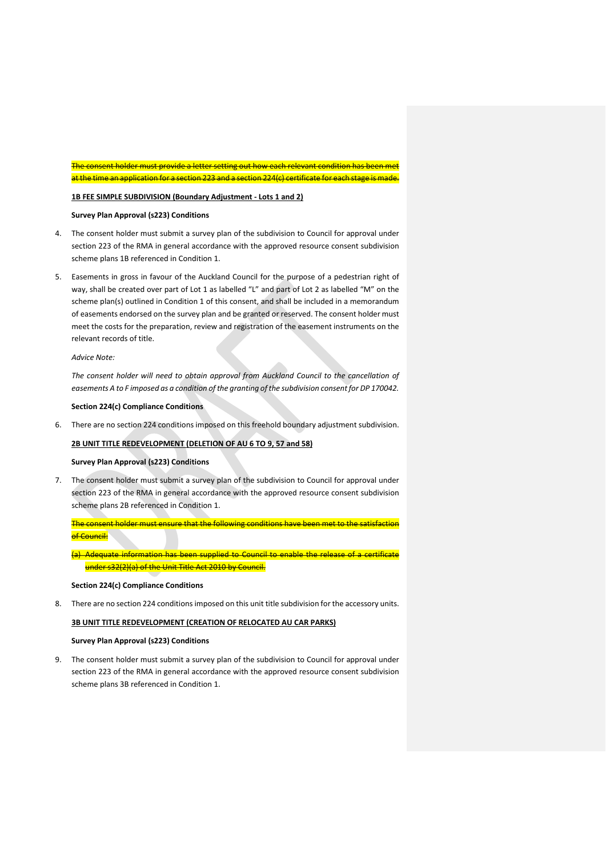The consent holder must provide a letter setting out how each relevant condition has been met at the time an application for a section 223 and a section 224(c) certificate for each stage is made.

### **1B FEE SIMPLE SUBDIVISION (Boundary Adjustment - Lots 1 and 2)**

# **Survey Plan Approval (s223) Conditions**

- 4. The consent holder must submit a survey plan of the subdivision to Council for approval under section 223 of the RMA in general accordance with the approved resource consent subdivision scheme plans 1B referenced in Condition 1.
- 5. Easements in gross in favour of the Auckland Council for the purpose of a pedestrian right of way, shall be created over part of Lot 1 as labelled "L" and part of Lot 2 as labelled "M" on the scheme plan(s) outlined in Condition 1 of this consent, and shall be included in a memorandum of easements endorsed on the survey plan and be granted or reserved. The consent holder must meet the costs for the preparation, review and registration of the easement instruments on the relevant records of title.

### *Advice Note:*

*The consent holder will need to obtain approval from Auckland Council to the cancellation of easements A to F imposed as a condition of the granting of the subdivision consent for DP 170042.*

### **Section 224(c) Compliance Conditions**

6. There are no section 224 conditions imposed on this freehold boundary adjustment subdivision.

# **2B UNIT TITLE REDEVELOPMENT (DELETION OF AU 6 TO 9, 57 and 58)**

### **Survey Plan Approval (s223) Conditions**

7. The consent holder must submit a survey plan of the subdivision to Council for approval under section 223 of the RMA in general accordance with the approved resource consent subdivision scheme plans 2B referenced in Condition 1.

The consent holder must ensure that the following conditions have been met to the satisfaction of Council:

(a) Adequate information has been supplied to Council to enable the release of a certificate under s32(2)(a) of the Unit Title Act 2010 by Council.

### **Section 224(c) Compliance Conditions**

8. There are no section 224 conditions imposed on this unit title subdivision for the accessory units.

### **3B UNIT TITLE REDEVELOPMENT (CREATION OF RELOCATED AU CAR PARKS)**

### **Survey Plan Approval (s223) Conditions**

9. The consent holder must submit a survey plan of the subdivision to Council for approval under section 223 of the RMA in general accordance with the approved resource consent subdivision scheme plans 3B referenced in Condition 1.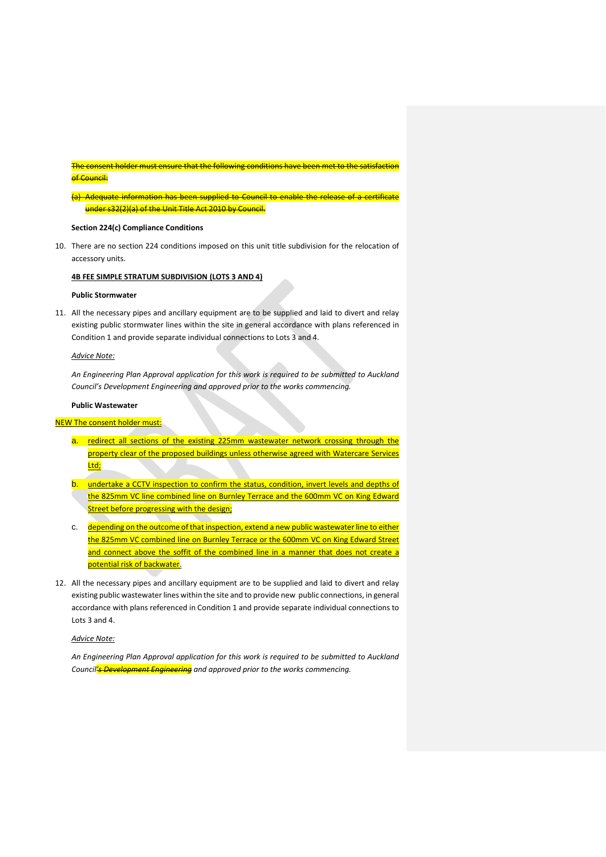### The consent holder must ensure that the following conditions have been met to the satisfaction of Council:

(a) Adequate information has been supplied to Council to enable the release of a certificate under s32(2)(a) of the Unit Title Act 2010 by Council.

### **Section 224(c) Compliance Conditions**

10. There are no section 224 conditions imposed on this unit title subdivision for the relocation of accessory units.

### **4B FEE SIMPLE STRATUM SUBDIVISION (LOTS 3 AND 4)**

### **Public Stormwater**

11. All the necessary pipes and ancillary equipment are to be supplied and laid to divert and relay existing public stormwater lines within the site in general accordance with plans referenced in Condition 1 and provide separate individual connections to Lots 3 and 4.

### *Advice Note:*

*An Engineering Plan Approval application for this work is required to be submitted to Auckland Council's Development Engineering and approved prior to the works commencing.*

### **Public Wastewater**

# NEW The consent holder must:

- a. redirect all sections of the existing 225mm wastewater network crossing through the property clear of the proposed buildings unless otherwise agreed with Watercare Services Ltd;
- b. undertake a CCTV inspection to confirm the status, condition, invert levels and depths of the 825mm VC line combined line on Burnley Terrace and the 600mm VC on King Edward **Street before progressing with the design;**
- c. depending on the outcome of that inspection, extend a new public wastewater line to either the 825mm VC combined line on Burnley Terrace or the 600mm VC on King Edward Street and connect above the soffit of the combined line in a manner that does not create a potential risk of backwater.
- 12. All the necessary pipes and ancillary equipment are to be supplied and laid to divert and relay existing public wastewater lines within the site and to provide new public connections, in general accordance with plans referenced in Condition 1 and provide separate individual connections to Lots 3 and 4.

### *Advice Note:*

*An Engineering Plan Approval application for this work is required to be submitted to Auckland Council's Development Engineering and approved prior to the works commencing.*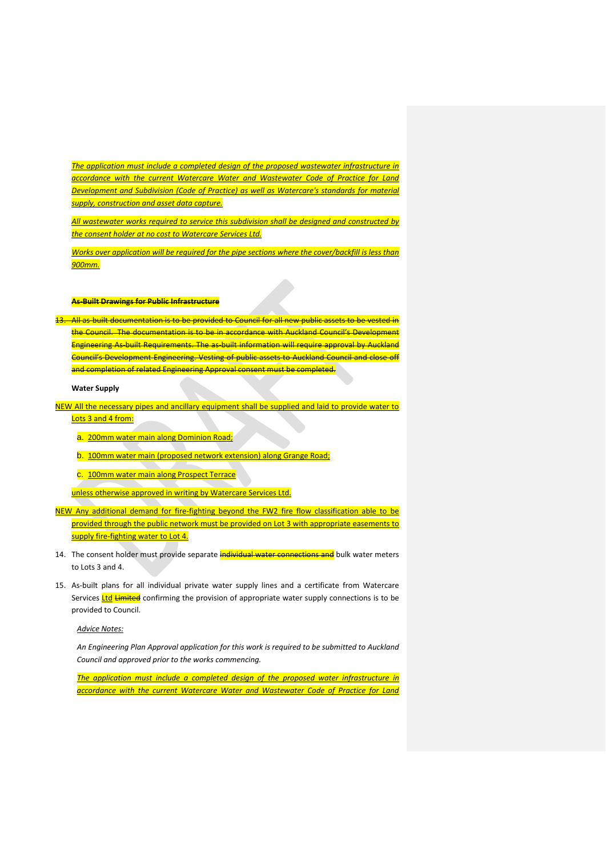*The application must include a completed design of the proposed wastewater infrastructure in accordance with the current Watercare Water and Wastewater Code of Practice for Land Development and Subdivision (Code of Practice) as well as Watercare's standards for material supply, construction and asset data capture.*

*All wastewater works required to service this subdivision shall be designed and constructed by the consent holder at no cost to Watercare Services Ltd.*

*Works over application will be required for the pipe sections where the cover/backfill is less than 900mm.*

### **As-Built Drawings for Public Infrastructure**

13. All as-built documentation is to be provided to Council for all new public assets to be vested in the Council. The documentation is to be in accordance with Auckland Council's Development Engineering As-built Requirements. The as-built information will require approval by Auckland Council's Development Engineering. Vesting of public assets to Auckland Council and close off and completion of related Engineering Approval consent must be completed.

**Water Supply** 

NEW All the necessary pipes and ancillary equipment shall be supplied and laid to provide water to Lots 3 and 4 from:

a. 200mm water main along Dominion Road;

b. 100mm water main (proposed network extension) along Grange Road;

c. 100mm water main along Prospect Terrace

unless otherwise approved in writing by Watercare Services Ltd.

NEW Any additional demand for fire-fighting beyond the FW2 fire flow classification able to be provided through the public network must be provided on Lot 3 with appropriate easements to supply fire-fighting water to Lot 4.

- 14. The consent holder must provide separate **individual water connections and** bulk water meters to Lots 3 and 4.
- 15. As-built plans for all individual private water supply lines and a certificate from Watercare Services Ltd Limited confirming the provision of appropriate water supply connections is to be provided to Council.

# *Advice Notes:*

*An Engineering Plan Approval application for this work is required to be submitted to Auckland Council and approved prior to the works commencing.*

*The application must include a completed design of the proposed water infrastructure in accordance with the current Watercare Water and Wastewater Code of Practice for Land*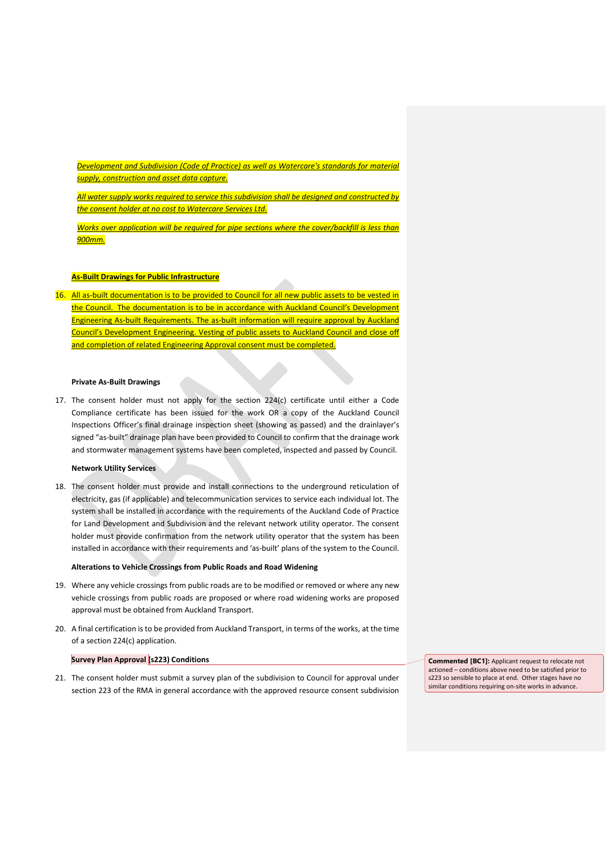*Development and Subdivision (Code of Practice) as well as Watercare's standards for material supply, construction and asset data capture.*

*All water supply works required to service this subdivision shall be designed and constructed by the consent holder at no cost to Watercare Services Ltd.*

*Works over application will be required for pipe sections where the cover/backfill is less than 900mm.*

# **As-Built Drawings for Public Infrastructure**

16. All as-built documentation is to be provided to Council for all new public assets to be vested in the Council. The documentation is to be in accordance with Auckland Council's Development Engineering As-built Requirements. The as-built information will require approval by Auckland Council's Development Engineering. Vesting of public assets to Auckland Council and close off and completion of related Engineering Approval consent must be completed.

### **Private As-Built Drawings**

17. The consent holder must not apply for the section 224(c) certificate until either a Code Compliance certificate has been issued for the work OR a copy of the Auckland Council Inspections Officer's final drainage inspection sheet (showing as passed) and the drainlayer's signed "as-built" drainage plan have been provided to Council to confirm that the drainage work and stormwater management systems have been completed, inspected and passed by Council.

### **Network Utility Services**

18. The consent holder must provide and install connections to the underground reticulation of electricity, gas (if applicable) and telecommunication services to service each individual lot. The system shall be installed in accordance with the requirements of the Auckland Code of Practice for Land Development and Subdivision and the relevant network utility operator. The consent holder must provide confirmation from the network utility operator that the system has been installed in accordance with their requirements and 'as-built' plans of the system to the Council.

### **Alterations to Vehicle Crossings from Public Roads and Road Widening**

- 19. Where any vehicle crossings from public roads are to be modified or removed or where any new vehicle crossings from public roads are proposed or where road widening works are proposed approval must be obtained from Auckland Transport.
- 20. A final certification is to be provided from Auckland Transport, in terms of the works, at the time of a section 224(c) application.

### **Survey Plan Approval (s223) Conditions**

21. The consent holder must submit a survey plan of the subdivision to Council for approval under section 223 of the RMA in general accordance with the approved resource consent subdivision

**Commented [BC1]:** Applicant request to relocate not actioned – conditions above need to be satisfied prior to s223 so sensible to place at end. Other stages have no similar conditions requiring on-site works in advance.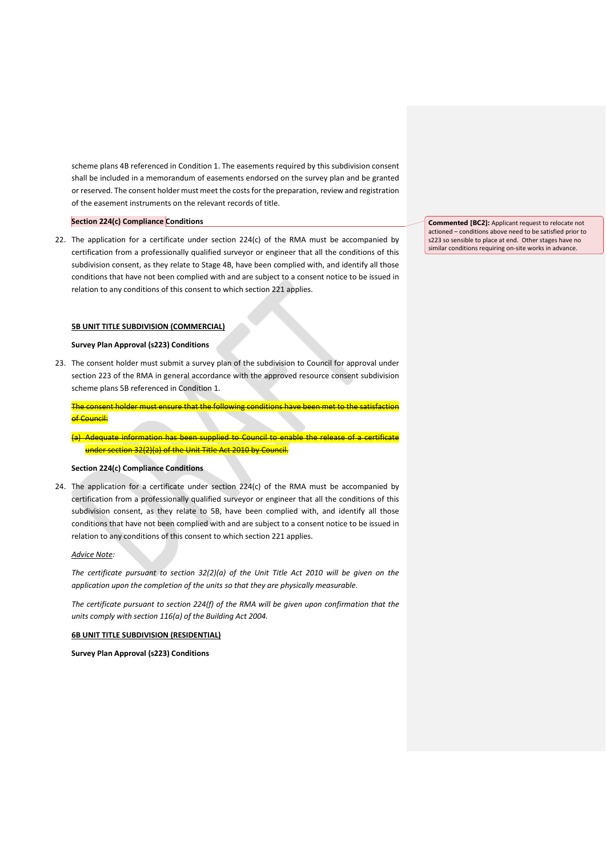scheme plans 4B referenced in Condition 1. The easements required by this subdivision consent shall be included in a memorandum of easements endorsed on the survey plan and be granted or reserved. The consent holder must meet the costs for the preparation, review and registration of the easement instruments on the relevant records of title.

### **Section 224(c) Compliance Conditions**

22. The application for a certificate under section 224(c) of the RMA must be accompanied by certification from a professionally qualified surveyor or engineer that all the conditions of this subdivision consent, as they relate to Stage 4B, have been complied with, and identify all those conditions that have not been complied with and are subject to a consent notice to be issued in relation to any conditions of this consent to which section 221 applies.

### **5B UNIT TITLE SUBDIVISION (COMMERCIAL)**

### **Survey Plan Approval (s223) Conditions**

23. The consent holder must submit a survey plan of the subdivision to Council for approval under section 223 of the RMA in general accordance with the approved resource consent subdivision scheme plans 5B referenced in Condition 1.

The consent holder must ensure that the following co of Council:

-Adequate information has been supplied to Council to enable the release of under section 32(2)(a) of the Unit Title Act 2010 by Council.

### **Section 224(c) Compliance Conditions**

24. The application for a certificate under section 224(c) of the RMA must be accompanied by certification from a professionally qualified surveyor or engineer that all the conditions of this subdivision consent, as they relate to 5B, have been complied with, and identify all those conditions that have not been complied with and are subject to a consent notice to be issued in relation to any conditions of this consent to which section 221 applies.

### *Advice Note:*

*The certificate pursuant to section 32(2)(a) of the Unit Title Act 2010 will be given on the application upon the completion of the units so that they are physically measurable.*

*The certificate pursuant to section 224(f) of the RMA will be given upon confirmation that the units comply with section 116(a) of the Building Act 2004.*

### **6B UNIT TITLE SUBDIVISION (RESIDENTIAL)**

**Survey Plan Approval (s223) Conditions**

**Commented [BC2]:** Applicant request to relocate not actioned – conditions above need to be satisfied prior to s223 so sensible to place at end. Other stages have no similar conditions requiring on-site works in advance.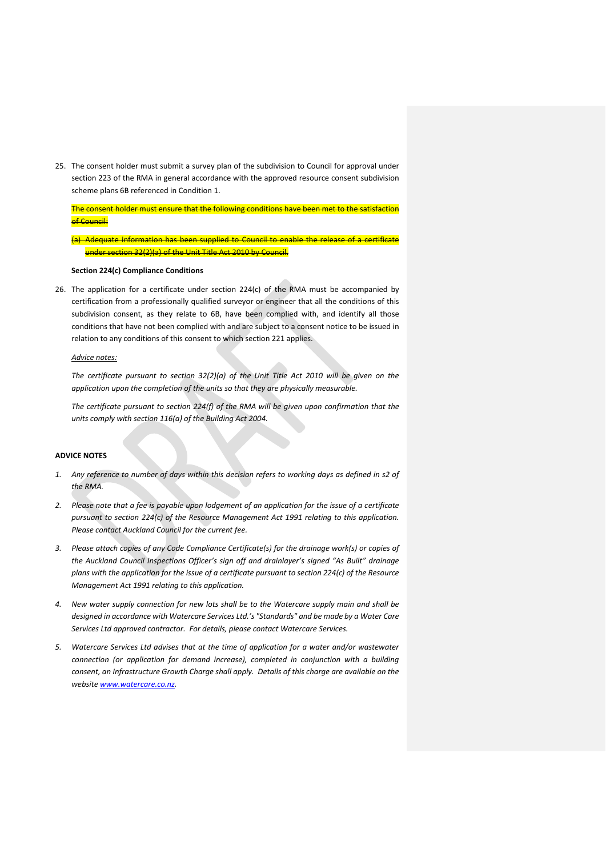25. The consent holder must submit a survey plan of the subdivision to Council for approval under section 223 of the RMA in general accordance with the approved resource consent subdivision scheme plans 6B referenced in Condition 1.

The consent holder must ensure that the following conditions have been met to t of Council:

(a) Adequate information has been supplied to Council to enable the release of a certificate under section 32(2)(a) of the Unit Title Act 2010 by Council.

#### **Section 224(c) Compliance Conditions**

26. The application for a certificate under section 224(c) of the RMA must be accompanied by certification from a professionally qualified surveyor or engineer that all the conditions of this subdivision consent, as they relate to 6B, have been complied with, and identify all those conditions that have not been complied with and are subject to a consent notice to be issued in relation to any conditions of this consent to which section 221 applies.

### *Advice notes:*

*The certificate pursuant to section 32(2)(a) of the Unit Title Act 2010 will be given on the application upon the completion of the units so that they are physically measurable.*

*The certificate pursuant to section 224(f) of the RMA will be given upon confirmation that the units comply with section 116(a) of the Building Act 2004.*

# **ADVICE NOTES**

- *1. Any reference to number of days within this decision refers to working days as defined in s2 of the RMA.*
- *2. Please note that a fee is payable upon lodgement of an application for the issue of a certificate pursuant to section 224(c) of the Resource Management Act 1991 relating to this application. Please contact Auckland Council for the current fee.*
- *3. Please attach copies of any Code Compliance Certificate(s) for the drainage work(s) or copies of the Auckland Council Inspections Officer's sign off and drainlayer's signed "As Built" drainage plans with the application for the issue of a certificate pursuant to section 224(c) of the Resource Management Act 1991 relating to this application.*
- *4. New water supply connection for new lots shall be to the Watercare supply main and shall be designed in accordance with Watercare Services Ltd.'s "Standards" and be made by a Water Care Services Ltd approved contractor. For details, please contact Watercare Services.*
- *5. Watercare Services Ltd advises that at the time of application for a water and/or wastewater connection (or application for demand increase), completed in conjunction with a building consent, an Infrastructure Growth Charge shall apply. Details of this charge are available on the website www.watercare.co.nz.*